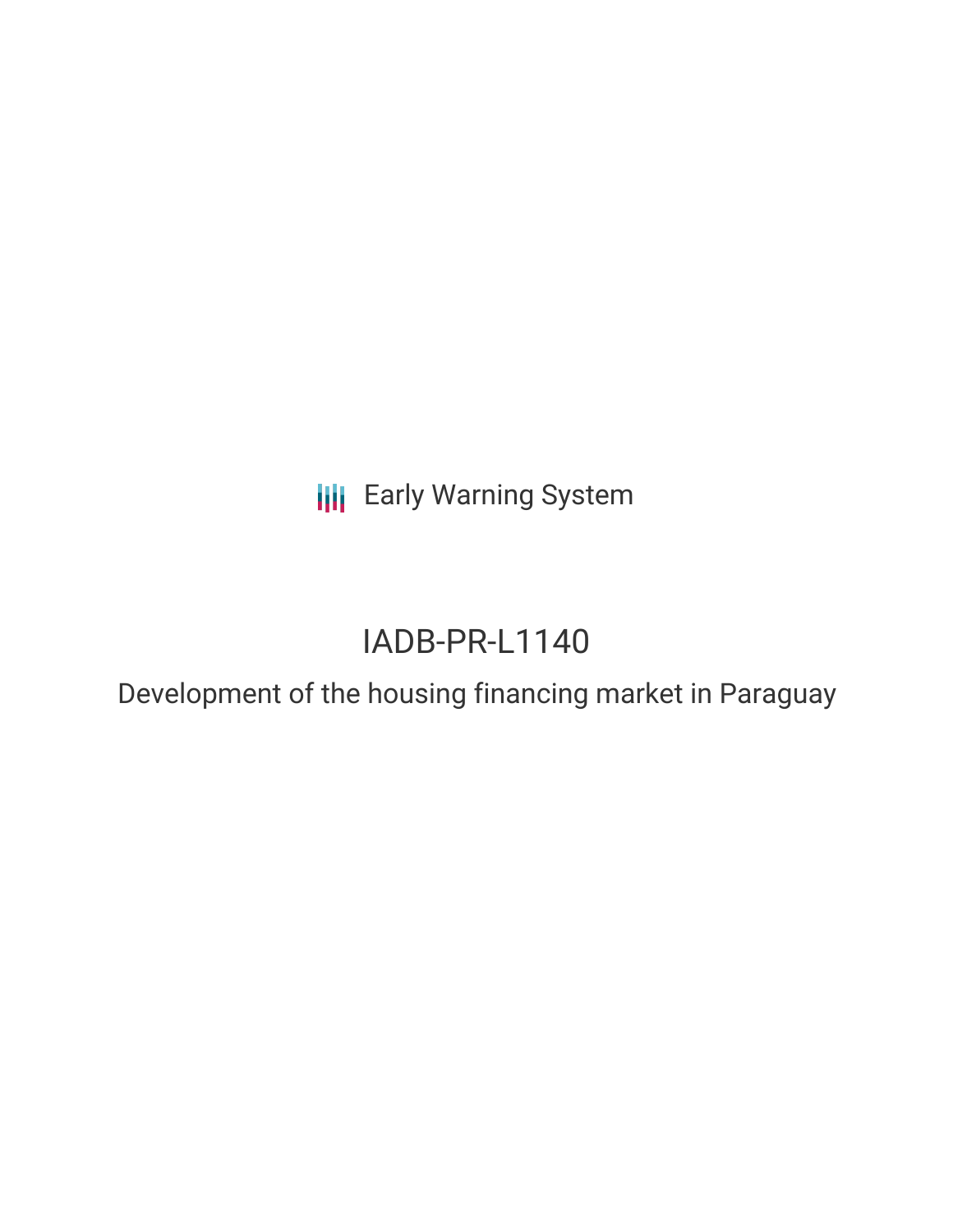**III** Early Warning System

# IADB-PR-L1140

Development of the housing financing market in Paraguay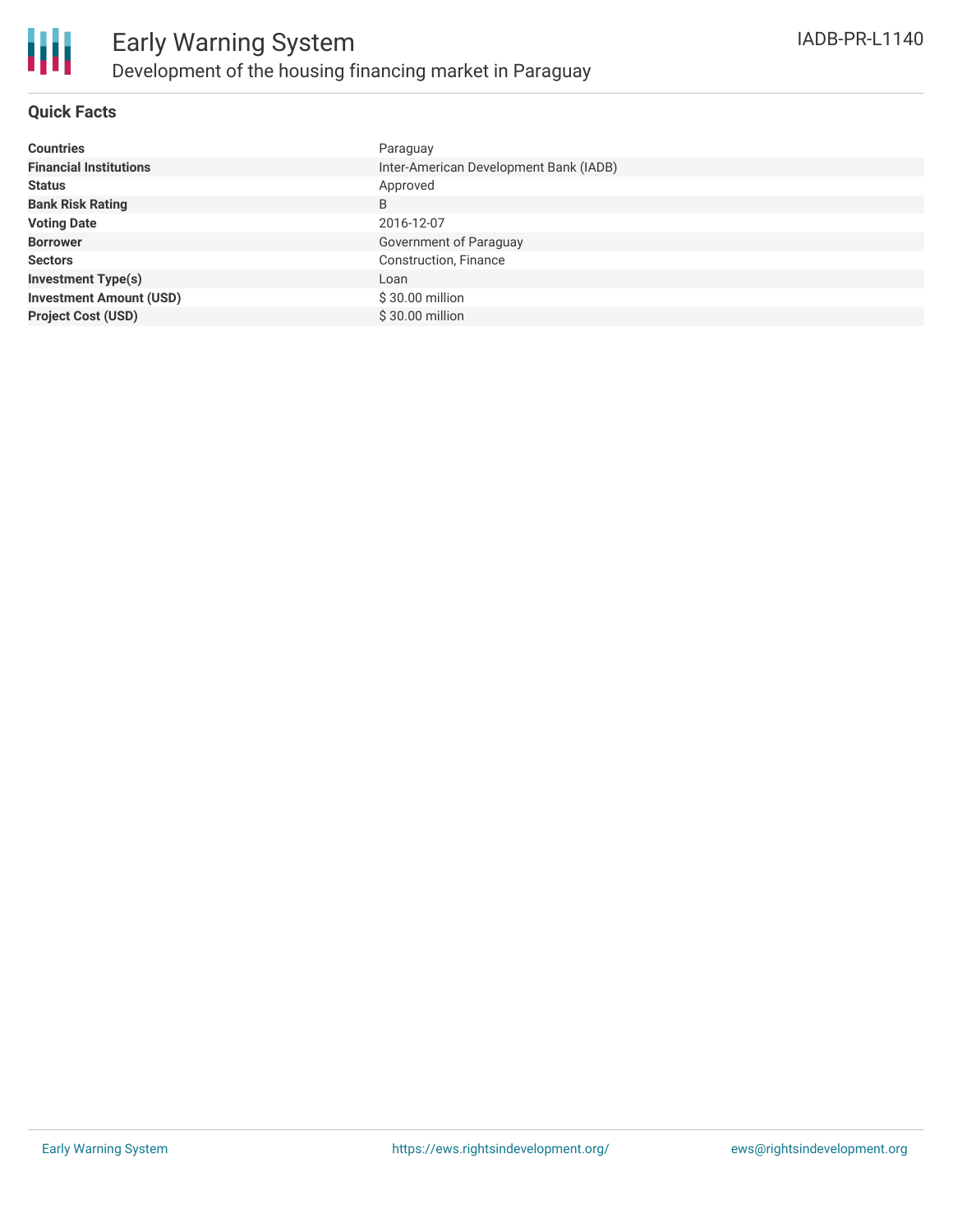

#### **Quick Facts**

| <b>Countries</b>               | Paraguay                               |
|--------------------------------|----------------------------------------|
| <b>Financial Institutions</b>  | Inter-American Development Bank (IADB) |
| <b>Status</b>                  | Approved                               |
| <b>Bank Risk Rating</b>        | B                                      |
| <b>Voting Date</b>             | 2016-12-07                             |
| <b>Borrower</b>                | Government of Paraguay                 |
| <b>Sectors</b>                 | Construction, Finance                  |
| <b>Investment Type(s)</b>      | Loan                                   |
| <b>Investment Amount (USD)</b> | $$30.00$ million                       |
| <b>Project Cost (USD)</b>      | \$30.00 million                        |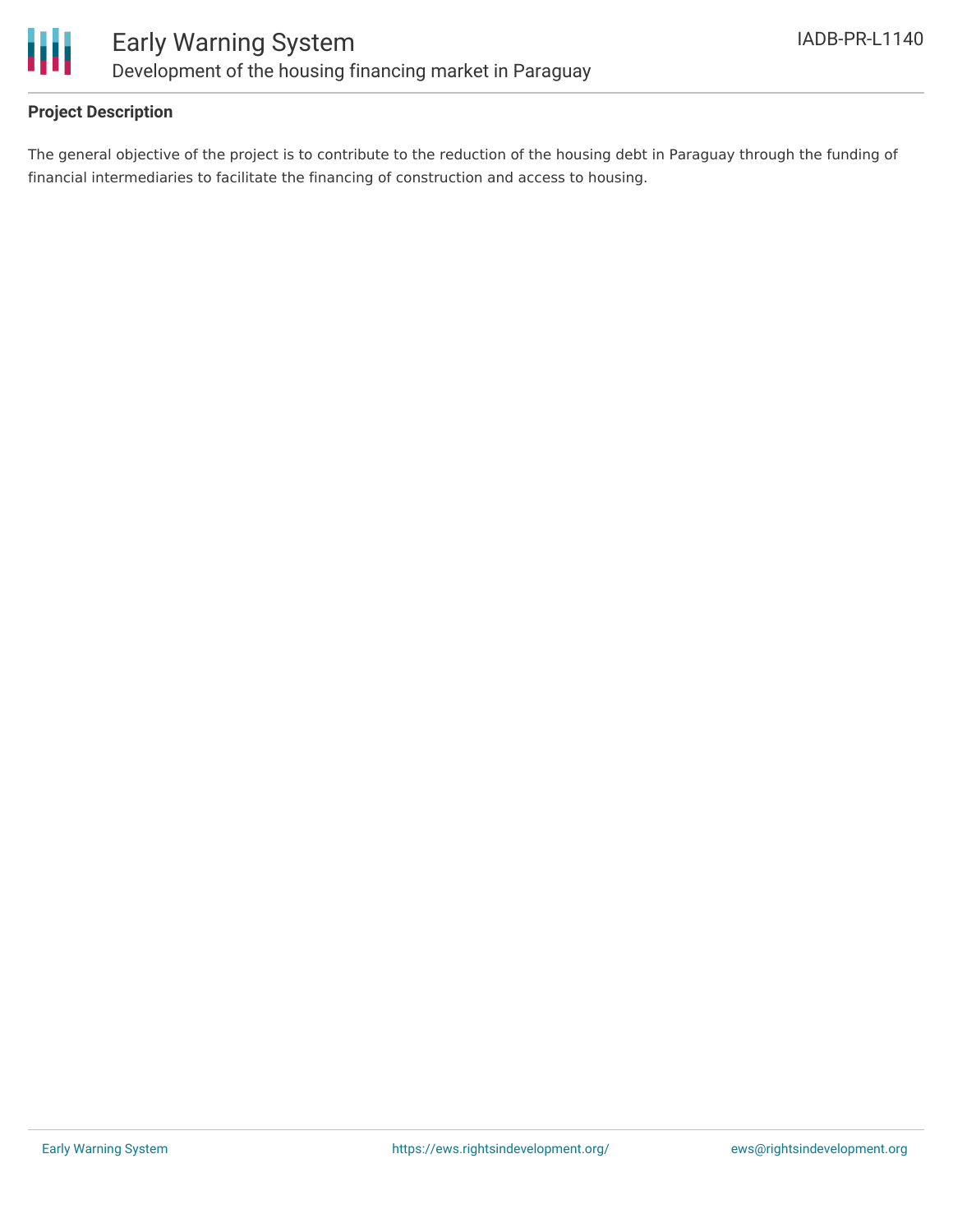

#### **Project Description**

The general objective of the project is to contribute to the reduction of the housing debt in Paraguay through the funding of financial intermediaries to facilitate the financing of construction and access to housing.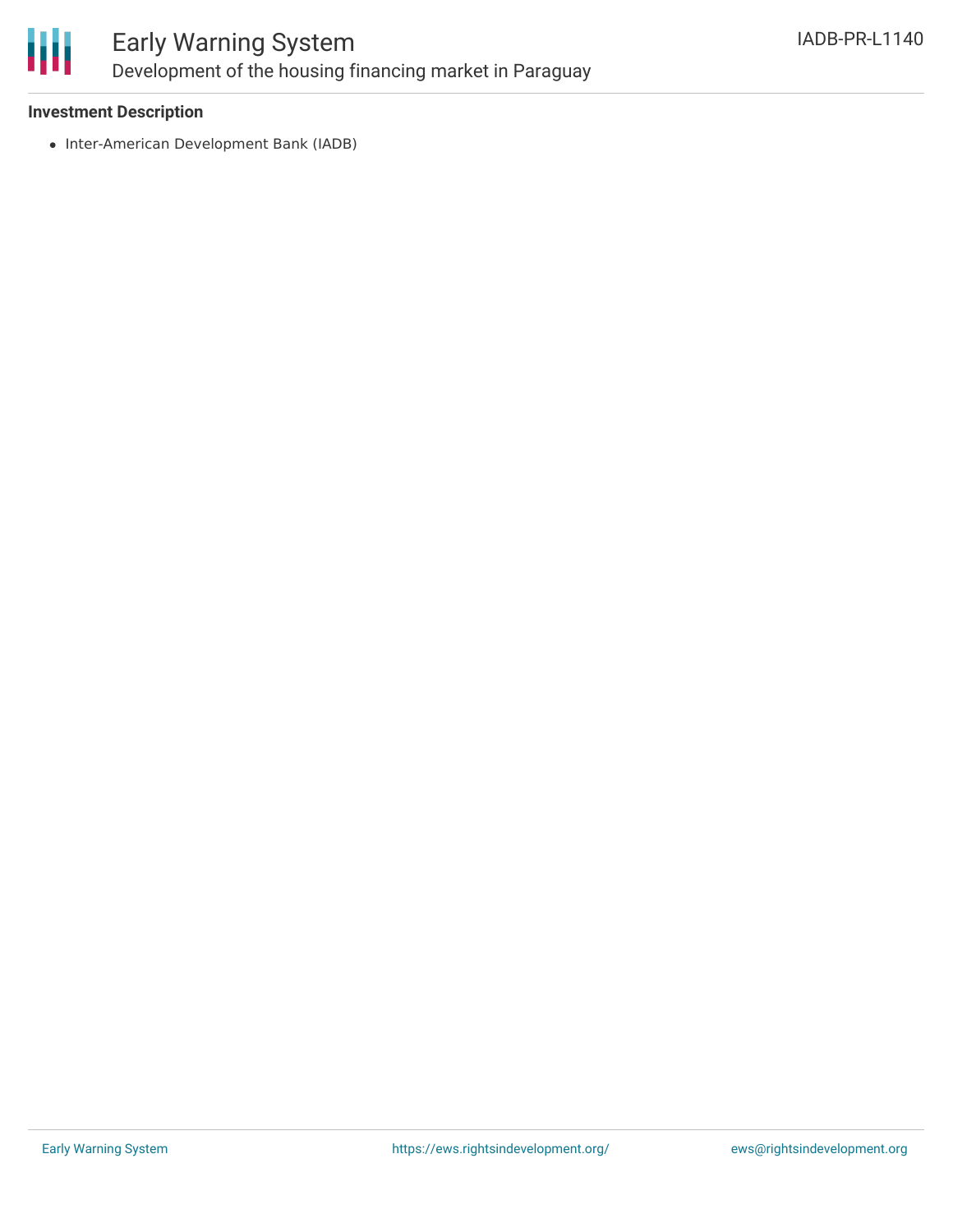

### Early Warning System Development of the housing financing market in Paraguay

#### **Investment Description**

• Inter-American Development Bank (IADB)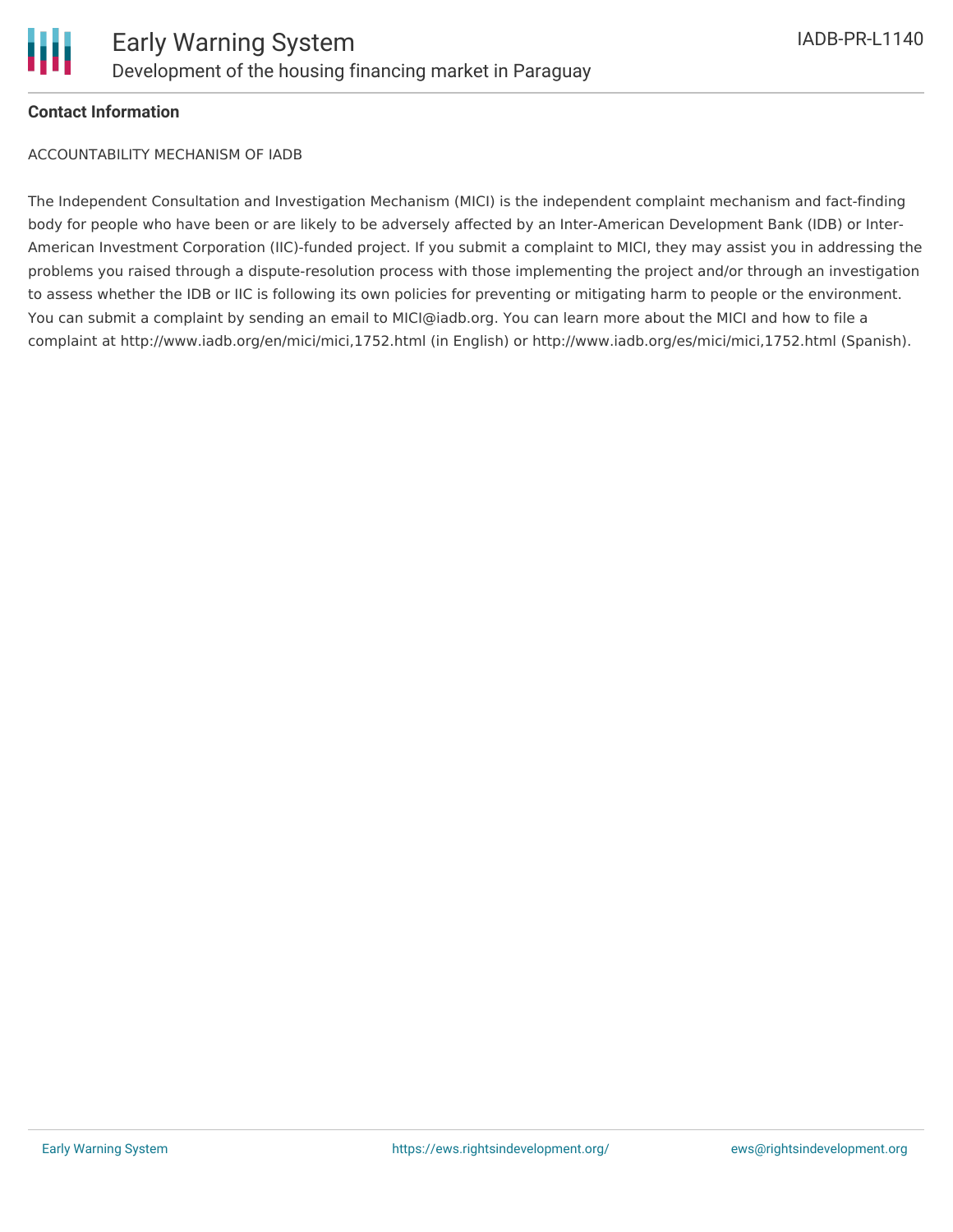

#### **Contact Information**

ACCOUNTABILITY MECHANISM OF IADB

The Independent Consultation and Investigation Mechanism (MICI) is the independent complaint mechanism and fact-finding body for people who have been or are likely to be adversely affected by an Inter-American Development Bank (IDB) or Inter-American Investment Corporation (IIC)-funded project. If you submit a complaint to MICI, they may assist you in addressing the problems you raised through a dispute-resolution process with those implementing the project and/or through an investigation to assess whether the IDB or IIC is following its own policies for preventing or mitigating harm to people or the environment. You can submit a complaint by sending an email to MICI@iadb.org. You can learn more about the MICI and how to file a complaint at http://www.iadb.org/en/mici/mici,1752.html (in English) or http://www.iadb.org/es/mici/mici,1752.html (Spanish).